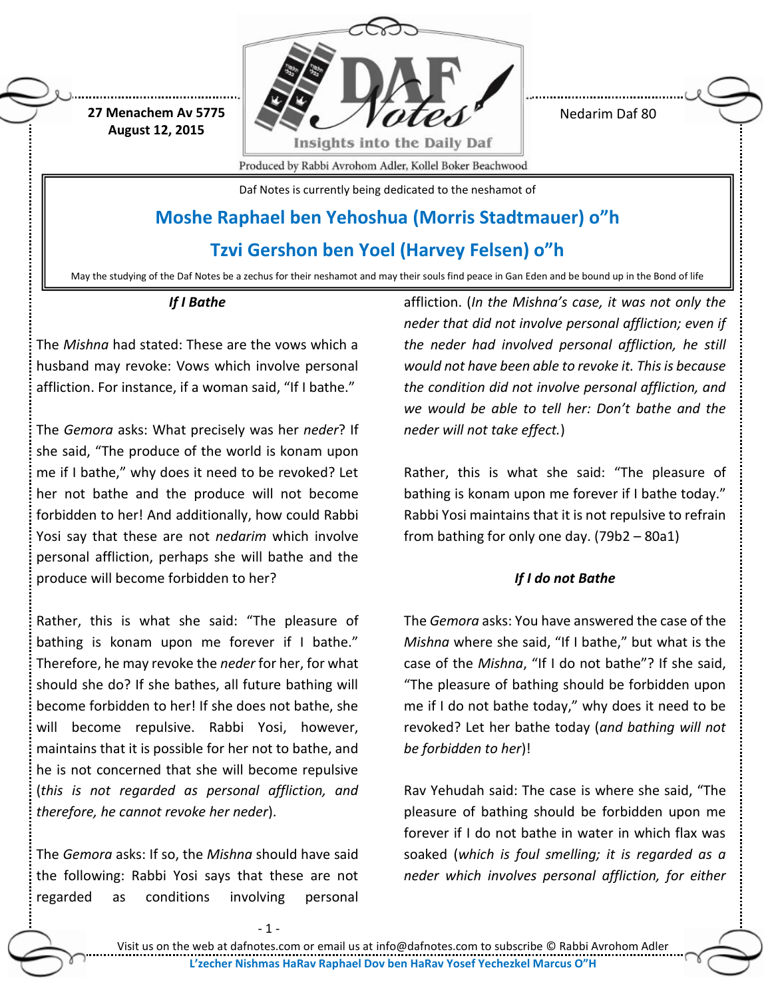

Nedarim Daf 80

Produced by Rabbi Avrohom Adler, Kollel Boker Beachwood

Daf Notes is currently being dedicated to the neshamot of

# **Moshe Raphael ben Yehoshua (Morris Stadtmauer) o"h**

**Tzvi Gershon ben Yoel (Harvey Felsen) o"h**

May the studying of the Daf Notes be a zechus for their neshamot and may their souls find peace in Gan Eden and be bound up in the Bond of life

# *If I Bathe*

**27 Menachem Av 5775 August 12, 2015**

The *Mishna* had stated: These are the vows which a husband may revoke: Vows which involve personal affliction. For instance, if a woman said, "If I bathe."

The *Gemora* asks: What precisely was her *neder*? If she said, "The produce of the world is konam upon me if I bathe," why does it need to be revoked? Let her not bathe and the produce will not become forbidden to her! And additionally, how could Rabbi Yosi say that these are not *nedarim* which involve personal affliction, perhaps she will bathe and the produce will become forbidden to her?

Rather, this is what she said: "The pleasure of bathing is konam upon me forever if I bathe." Therefore, he may revoke the *neder* for her, for what should she do? If she bathes, all future bathing will become forbidden to her! If she does not bathe, she will become repulsive. Rabbi Yosi, however, maintains that it is possible for her not to bathe, and he is not concerned that she will become repulsive (*this is not regarded as personal affliction, and therefore, he cannot revoke her neder*).

The *Gemora* asks: If so, the *Mishna* should have said the following: Rabbi Yosi says that these are not regarded as conditions involving personal

affliction. (*In the Mishna's case, it was not only the neder that did not involve personal affliction; even if the neder had involved personal affliction, he still would not have been able to revoke it. This is because the condition did not involve personal affliction, and we would be able to tell her: Don't bathe and the neder will not take effect.*)

Rather, this is what she said: "The pleasure of bathing is konam upon me forever if I bathe today." Rabbi Yosi maintains that it is not repulsive to refrain from bathing for only one day. (79b2 – 80a1)

# *If I do not Bathe*

The *Gemora* asks: You have answered the case of the *Mishna* where she said, "If I bathe," but what is the case of the *Mishna*, "If I do not bathe"? If she said, "The pleasure of bathing should be forbidden upon me if I do not bathe today," why does it need to be revoked? Let her bathe today (*and bathing will not be forbidden to her*)!

Rav Yehudah said: The case is where she said, "The pleasure of bathing should be forbidden upon me forever if I do not bathe in water in which flax was soaked (*which is foul smelling; it is regarded as a neder which involves personal affliction, for either*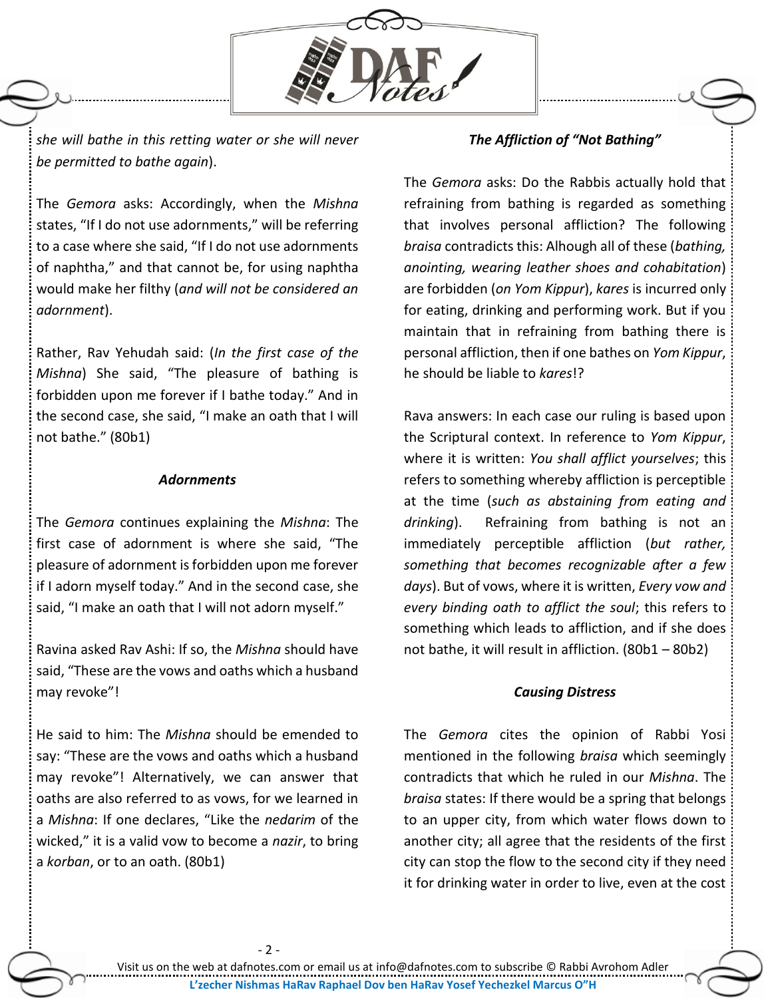

*she will bathe in this retting water or she will never be permitted to bathe again*).

The *Gemora* asks: Accordingly, when the *Mishna* states, "If I do not use adornments," will be referring to a case where she said, "If I do not use adornments of naphtha," and that cannot be, for using naphtha would make her filthy (*and will not be considered an adornment*).

Rather, Rav Yehudah said: (*In the first case of the Mishna*) She said, "The pleasure of bathing is forbidden upon me forever if I bathe today." And in the second case, she said, "I make an oath that I will not bathe." (80b1)

## *Adornments*

The *Gemora* continues explaining the *Mishna*: The first case of adornment is where she said, "The pleasure of adornment is forbidden upon me forever if I adorn myself today." And in the second case, she said, "I make an oath that I will not adorn myself."

Ravina asked Rav Ashi: If so, the *Mishna* should have said, "These are the vows and oaths which a husband may revoke"!

He said to him: The *Mishna* should be emended to say: "These are the vows and oaths which a husband may revoke"! Alternatively, we can answer that oaths are also referred to as vows, for we learned in a *Mishna*: If one declares, "Like the *nedarim* of the wicked," it is a valid vow to become a *nazir*, to bring a *korban*, or to an oath. (80b1)

## *The Affliction of "Not Bathing"*

The *Gemora* asks: Do the Rabbis actually hold that refraining from bathing is regarded as something that involves personal affliction? The following *braisa* contradicts this: Alhough all of these (*bathing, anointing, wearing leather shoes and cohabitation*) are forbidden (*on Yom Kippur*), *kares* is incurred only for eating, drinking and performing work. But if you maintain that in refraining from bathing there is personal affliction, then if one bathes on *Yom Kippur*, he should be liable to *kares*!?

Rava answers: In each case our ruling is based upon the Scriptural context. In reference to *Yom Kippur*, where it is written: *You shall afflict yourselves*; this refers to something whereby affliction is perceptible at the time (*such as abstaining from eating and drinking*). Refraining from bathing is not an immediately perceptible affliction (*but rather, something that becomes recognizable after a few days*). But of vows, where it is written, *Every vow and every binding oath to afflict the soul*; this refers to something which leads to affliction, and if she does not bathe, it will result in affliction. (80b1 – 80b2)

#### *Causing Distress*

The *Gemora* cites the opinion of Rabbi Yosi mentioned in the following *braisa* which seemingly contradicts that which he ruled in our *Mishna*. The *braisa* states: If there would be a spring that belongs to an upper city, from which water flows down to another city; all agree that the residents of the first city can stop the flow to the second city if they need it for drinking water in order to live, even at the cost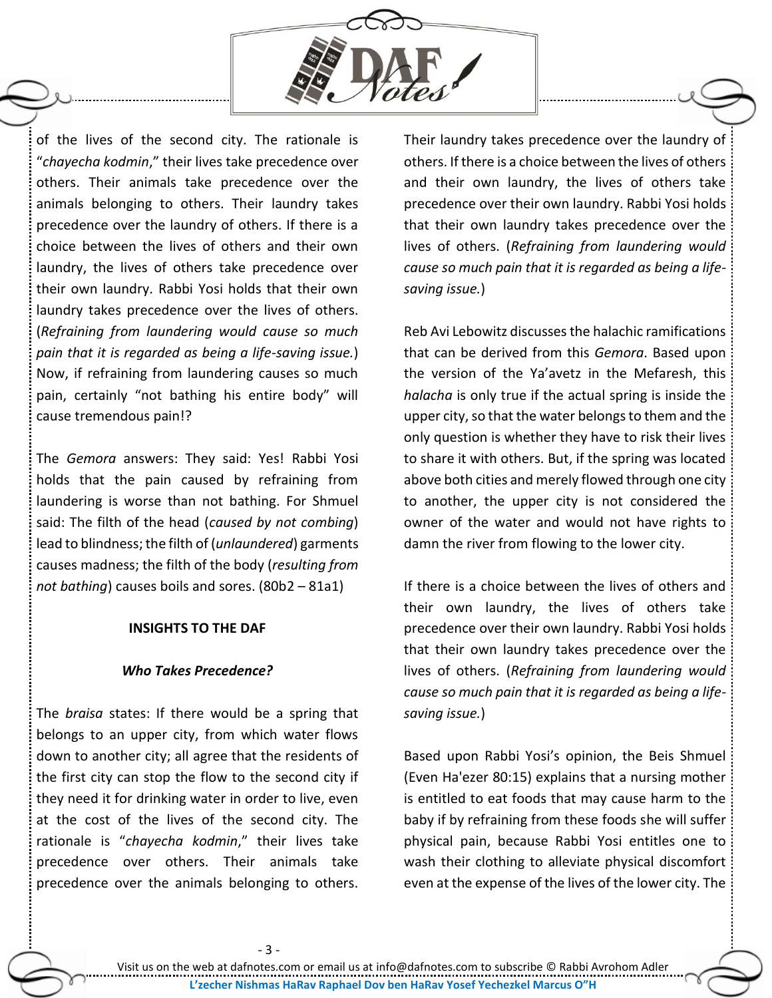

of the lives of the second city. The rationale is "*chayecha kodmin*," their lives take precedence over others. Their animals take precedence over the animals belonging to others. Their laundry takes precedence over the laundry of others. If there is a choice between the lives of others and their own laundry, the lives of others take precedence over their own laundry. Rabbi Yosi holds that their own laundry takes precedence over the lives of others. (*Refraining from laundering would cause so much pain that it is regarded as being a life-saving issue.*) Now, if refraining from laundering causes so much pain, certainly "not bathing his entire body" will cause tremendous pain!?

The *Gemora* answers: They said: Yes! Rabbi Yosi holds that the pain caused by refraining from laundering is worse than not bathing. For Shmuel said: The filth of the head (*caused by not combing*) lead to blindness; the filth of (*unlaundered*) garments causes madness; the filth of the body (*resulting from not bathing*) causes boils and sores. (80b2 – 81a1)

#### **INSIGHTS TO THE DAF**

#### *Who Takes Precedence?*

The *braisa* states: If there would be a spring that belongs to an upper city, from which water flows down to another city; all agree that the residents of the first city can stop the flow to the second city if they need it for drinking water in order to live, even at the cost of the lives of the second city. The rationale is "*chayecha kodmin*," their lives take precedence over others. Their animals take precedence over the animals belonging to others.

Their laundry takes precedence over the laundry of others. If there is a choice between the lives of others and their own laundry, the lives of others take precedence over their own laundry. Rabbi Yosi holds that their own laundry takes precedence over the lives of others. (*Refraining from laundering would cause so much pain that it is regarded as being a lifesaving issue.*)

Reb Avi Lebowitz discusses the halachic ramifications that can be derived from this *Gemora*. Based upon the version of the Ya'avetz in the Mefaresh, this *halacha* is only true if the actual spring is inside the upper city, so that the water belongs to them and the only question is whether they have to risk their lives to share it with others. But, if the spring was located above both cities and merely flowed through one city to another, the upper city is not considered the owner of the water and would not have rights to damn the river from flowing to the lower city.

If there is a choice between the lives of others and their own laundry, the lives of others take precedence over their own laundry. Rabbi Yosi holds that their own laundry takes precedence over the lives of others. (*Refraining from laundering would cause so much pain that it is regarded as being a lifesaving issue.*)

Based upon Rabbi Yosi's opinion, the Beis Shmuel (Even Ha'ezer 80:15) explains that a nursing mother is entitled to eat foods that may cause harm to the baby if by refraining from these foods she will suffer physical pain, because Rabbi Yosi entitles one to wash their clothing to alleviate physical discomfort even at the expense of the lives of the lower city. The